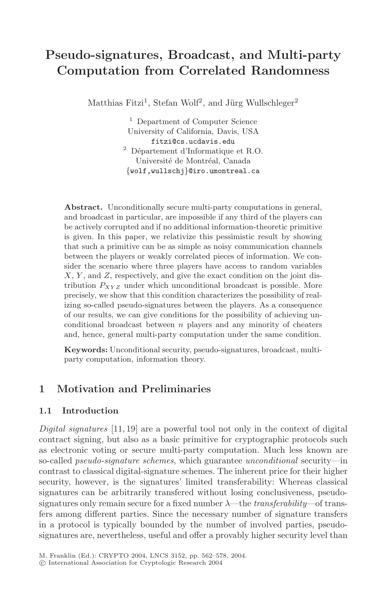# **Pseudo-signatures, Broadcast, and Multi-party Computation from Correlated Randomness**

Matthias Fitzi<sup>1</sup>, Stefan Wolf<sup>2</sup>, and Jürg Wullschleger<sup>2</sup>

<sup>1</sup> Department of Computer Science University of California, Davis, USA fitzi@cs.ucdavis.edu  $2$  Département d'Informatique et R.O. Université de Montréal, Canada {wolf,wullschj}@iro.umontreal.ca

**Abstract.** Unconditionally secure multi-party computations in general, and broadcast in particular, are impossible if any third of the players can be actively corrupted and if no additional information-theoretic primitive is given. In this paper, we relativize this pessimistic result by showing that such a primitive can be as simple as noisy communication channels between the players or weakly correlated pieces of information. We consider the scenario where three players have access to random variables *X*, *Y* , and *Z*, respectively, and give the exact condition on the joint distribution  $P_{XYZ}$  under which unconditional broadcast is possible. More precisely, we show that this condition characterizes the possibility of realizing so-called pseudo-signatures between the players. As a consequence of our results, we can give conditions for the possibility of achieving unconditional broadcast between *n* players and any minority of cheaters and, hence, general multi-party computation under the same condition.

**Keywords:** Unconditional security, pseudo-signatures, broadcast, multiparty computation, information theory.

# **1 Motivation and Preliminaries**

# **1.1 Introduction**

*Digital signatures* [11, 19] are a powerful tool not only in the context of digital contract signing, but also as a basic primitive for cryptographic protocols such as electronic voting or secure multi-party computation. Much less known are so-called *pseudo-signature schemes*, which guarantee *unconditional* security—in contrast to classical digital-signature schemes. The inherent price for their higher security, however, is the signatures' limited transferability: Whereas classical signatures can be arbitrarily transfered without losing conclusiveness, pseudosignatures only remain secure for a fixed number  $\lambda$ —the *transferability*—of transfers among different parties. Since the necessary number of signature transfers in a protocol is typically bounded by the number of involved parties, pseudosignatures are, nevertheless, useful and offer a provably higher security level than

c International Association for Cryptologic Research 2004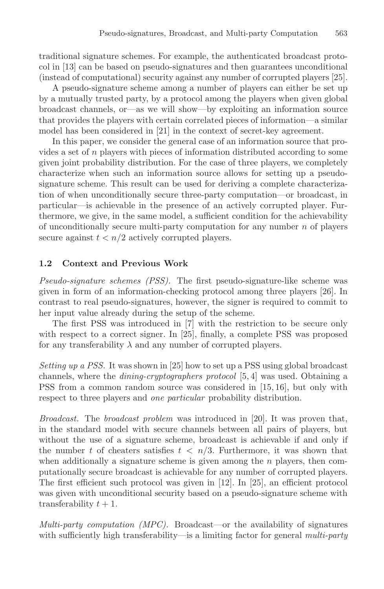traditional signature schemes. For example, the authenticated broadcast protocol in [13] can be based on pseudo-signatures and then guarantees unconditional (instead of computational) security against any number of corrupted players [25].

A pseudo-signature scheme among a number of players can either be set up by a mutually trusted party, by a protocol among the players when given global broadcast channels, or—as we will show—by exploiting an information source that provides the players with certain correlated pieces of information—a similar model has been considered in [21] in the context of secret-key agreement.

In this paper, we consider the general case of an information source that provides a set of n players with pieces of information distributed according to some given joint probability distribution. For the case of three players, we completely characterize when such an information source allows for setting up a pseudosignature scheme. This result can be used for deriving a complete characterization of when unconditionally secure three-party computation—or broadcast, in particular—is achievable in the presence of an actively corrupted player. Furthermore, we give, in the same model, a sufficient condition for the achievability of unconditionally secure multi-party computation for any number  $n$  of players secure against  $t < n/2$  actively corrupted players.

#### **1.2 Context and Previous Work**

*Pseudo-signature schemes (PSS).* The first pseudo-signature-like scheme was given in form of an information-checking protocol among three players [26]. In contrast to real pseudo-signatures, however, the signer is required to commit to her input value already during the setup of the scheme.

The first PSS was introduced in [7] with the restriction to be secure only with respect to a correct signer. In [25], finally, a complete PSS was proposed for any transferability  $\lambda$  and any number of corrupted players.

*Setting up a PSS.* It was shown in [25] how to set up a PSS using global broadcast channels, where the *dining-cryptographers protocol* [5, 4] was used. Obtaining a PSS from a common random source was considered in [15, 16], but only with respect to three players and *one particular* probability distribution.

*Broadcast.* The *broadcast problem* was introduced in [20]. It was proven that, in the standard model with secure channels between all pairs of players, but without the use of a signature scheme, broadcast is achievable if and only if the number t of cheaters satisfies  $t < n/3$ . Furthermore, it was shown that when additionally a signature scheme is given among the  $n$  players, then computationally secure broadcast is achievable for any number of corrupted players. The first efficient such protocol was given in [12]. In [25], an efficient protocol was given with unconditional security based on a pseudo-signature scheme with transferability  $t + 1$ .

*Multi-party computation (MPC).* Broadcast—or the availability of signatures with sufficiently high transferability—is a limiting factor for general *multi-party*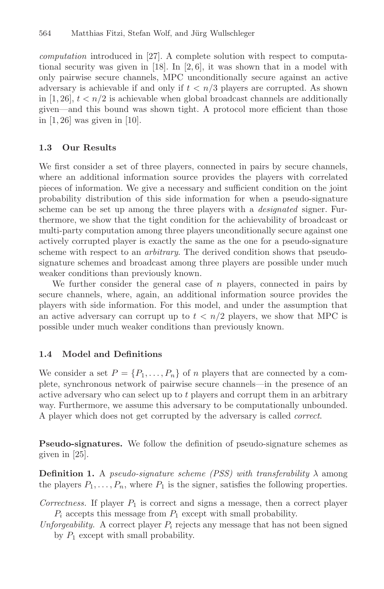*computation* introduced in [27]. A complete solution with respect to computational security was given in  $[18]$ . In  $[2, 6]$ , it was shown that in a model with only pairwise secure channels, MPC unconditionally secure against an active adversary is achievable if and only if  $t < n/3$  players are corrupted. As shown in [1, 26],  $t < n/2$  is achievable when global broadcast channels are additionally given—and this bound was shown tight. A protocol more efficient than those in  $[1, 26]$  was given in  $[10]$ .

### **1.3 Our Results**

We first consider a set of three players, connected in pairs by secure channels, where an additional information source provides the players with correlated pieces of information. We give a necessary and sufficient condition on the joint probability distribution of this side information for when a pseudo-signature scheme can be set up among the three players with a *designated* signer. Furthermore, we show that the tight condition for the achievability of broadcast or multi-party computation among three players unconditionally secure against one actively corrupted player is exactly the same as the one for a pseudo-signature scheme with respect to an *arbitrary*. The derived condition shows that pseudosignature schemes and broadcast among three players are possible under much weaker conditions than previously known.

We further consider the general case of  $n$  players, connected in pairs by secure channels, where, again, an additional information source provides the players with side information. For this model, and under the assumption that an active adversary can corrupt up to  $t < n/2$  players, we show that MPC is possible under much weaker conditions than previously known.

# **1.4 Model and Definitions**

We consider a set  $P = \{P_1, \ldots, P_n\}$  of n players that are connected by a complete, synchronous network of pairwise secure channels—in the presence of an active adversary who can select up to t players and corrupt them in an arbitrary way. Furthermore, we assume this adversary to be computationally unbounded. A player which does not get corrupted by the adversary is called *correct*.

**Pseudo-signatures.** We follow the definition of pseudo-signature schemes as given in [25].

**Definition 1.** A *pseudo-signature scheme (PSS) with transferability*  $\lambda$  among the players  $P_1, \ldots, P_n$ , where  $P_1$  is the signer, satisfies the following properties.

- *Correctness.* If player  $P_1$  is correct and signs a message, then a correct player  $P_i$  accepts this message from  $P_1$  except with small probability.
- *Unforgeability.* A correct player  $P_i$  rejects any message that has not been signed by  $P_1$  except with small probability.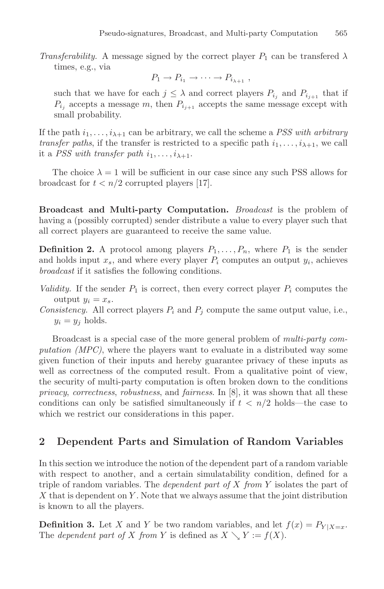*Transferability.* A message signed by the correct player  $P_1$  can be transferred  $\lambda$ times, e.g., via

$$
P_1 \to P_{i_1} \to \cdots \to P_{i_{\lambda+1}} \ ,
$$

such that we have for each  $j \leq \lambda$  and correct players  $P_{i_j}$  and  $P_{i_{j+1}}$  that if  $P_{i_j}$  accepts a message m, then  $P_{i_{j+1}}$  accepts the same message except with small probability.

If the path  $i_1, \ldots, i_{\lambda+1}$  can be arbitrary, we call the scheme a *PSS with arbitrary transfer paths*, if the transfer is restricted to a specific path  $i_1, \ldots, i_{\lambda+1}$ , we call it a *PSS with transfer path*  $i_1, \ldots, i_{\lambda+1}$ .

The choice  $\lambda = 1$  will be sufficient in our case since any such PSS allows for broadcast for  $t < n/2$  corrupted players [17].

**Broadcast and Multi-party Computation.** *Broadcast* is the problem of having a (possibly corrupted) sender distribute a value to every player such that all correct players are guaranteed to receive the same value.

**Definition 2.** A protocol among players  $P_1, \ldots, P_n$ , where  $P_1$  is the sender and holds input  $x_s$ , and where every player  $P_i$  computes an output  $y_i$ , achieves *broadcast* if it satisfies the following conditions.

- *Validity*. If the sender  $P_1$  is correct, then every correct player  $P_i$  computes the output  $y_i = x_s$ .
- *Consistency.* All correct players  $P_i$  and  $P_j$  compute the same output value, i.e.,  $y_i = y_j$  holds.

Broadcast is a special case of the more general problem of *multi-party computation (MPC)*, where the players want to evaluate in a distributed way some given function of their inputs and hereby guarantee privacy of these inputs as well as correctness of the computed result. From a qualitative point of view, the security of multi-party computation is often broken down to the conditions *privacy*, *correctness*, *robustness*, and *fairness*. In [8], it was shown that all these conditions can only be satisfied simultaneously if  $t < n/2$  holds—the case to which we restrict our considerations in this paper.

# **2 Dependent Parts and Simulation of Random Variables**

In this section we introduce the notion of the dependent part of a random variable with respect to another, and a certain simulatability condition, defined for a triple of random variables. The *dependent part of* X *from* Y isolates the part of  $X$  that is dependent on Y. Note that we always assume that the joint distribution is known to all the players.

**Definition 3.** Let X and Y be two random variables, and let  $f(x) = P_{Y|X=x}$ . The *dependent part of* X from Y is defined as  $X \setminus Y := f(X)$ .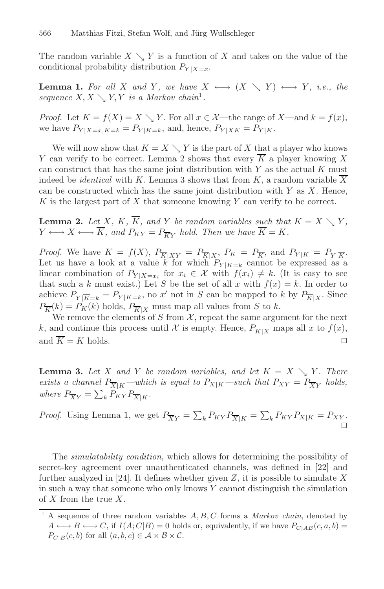The random variable  $X \setminus Y$  is a function of X and takes on the value of the conditional probability distribution  $P_{Y|X=x}$ .

**Lemma 1.** For all X and Y, we have  $X \leftrightarrow (X \setminus Y) \leftrightarrow Y$ , i.e., the *sequence*  $X, X \setminus Y, Y$  *is a Markov chain*<sup>1</sup>.

*Proof.* Let  $K = f(X) = X \setminus Y$ . For all  $x \in \mathcal{X}$ —the range of  $X$ —and  $k = f(x)$ , we have  $P_{Y|X=x,K=k} = P_{Y|K=k}$ , and, hence,  $P_{Y|XK} = P_{Y|K}$ .

We will now show that  $K = X \setminus Y$  is the part of X that a player who knows Y can verify to be correct. Lemma 2 shows that every  $\overline{K}$  a player knowing X can construct that has the same joint distribution with  $Y$  as the actual  $K$  must indeed be *identical* with K. Lemma 3 shows that from K, a random variable  $\overline{X}$ can be constructed which has the same joint distribution with  $Y$  as  $X$ . Hence, K is the largest part of X that someone knowing Y can verify to be correct.

**Lemma 2.** Let X, K,  $\overline{K}$ , and Y be random variables such that  $K = X \setminus Y$ ,  $Y \longleftrightarrow X \longleftrightarrow \overline{K}$ , and  $P_{KY} = P_{\overline{KY}}$  hold. Then we have  $\overline{K} = K$ .

*Proof.* We have  $K = f(X)$ ,  $P_{\overline{K}|XY} = P_{\overline{K}|X}$ ,  $P_K = P_{\overline{K}}$ , and  $P_{Y|K} = P_{Y|\overline{K}}$ . Let us have a look at a value k for which  $P_{Y|K=k}$  cannot be expressed as a linear combination of  $P_{Y|X=x_i}$  for  $x_i \in \mathcal{X}$  with  $f(x_i) \neq k$ . (It is easy to see that such a k must exist.) Let S be the set of all x with  $f(x) = k$ . In order to achieve  $P_{Y|\overline{K}=k} = P_{Y|K=k}$ , no x' not in S can be mapped to k by  $P_{\overline{K}|X}$ . Since  $P_{\overline{K}}(k) = P_K(k)$  holds,  $P_{\overline{K}|X}$  must map all values from S to k.

We remove the elements of S from  $X$ , repeat the same argument for the next k, and continue this process until X is empty. Hence,  $P_{\overline{K}|X}$  maps all x to  $f(x)$ , and  $\overline{K} = K$  holds.

**Lemma 3.** Let X and Y be random variables, and let  $K = X \setminus Y$ . There *exists a channel*  $P_{\overline{X}|K}$ —which is equal to  $P_{X|K}$ —such that  $P_{XY} = P_{\overline{X}Y}$  holds, where  $P_{\overline{X}Y} = \sum_{k} P_{KY} P_{\overline{X}|K}$ .

*Proof.* Using Lemma 1, we get  $P_{\overline{X}Y} = \sum_k P_{KY} P_{\overline{X}|K} = \sum_k P_{KY} P_{X|K} = P_{XY}$ .  $\Box$ 

The *simulatability condition*, which allows for determining the possibility of secret-key agreement over unauthenticated channels, was defined in [22] and further analyzed in [24]. It defines whether given  $Z$ , it is possible to simulate X in such a way that someone who only knows  $Y$  cannot distinguish the simulation of  $X$  from the true  $X$ .

<sup>1</sup> A sequence of three random variables *A, B, C* forms a *Markov chain*, denoted by *A* ←→ *B* ←→ *C*, if *I*(*A*; *C*|*B*) = 0 holds or, equivalently, if we have  $P_{C|AB}(c, a, b)$  =  $P_{C|B}(c, b)$  for all  $(a, b, c) \in A \times B \times C$ .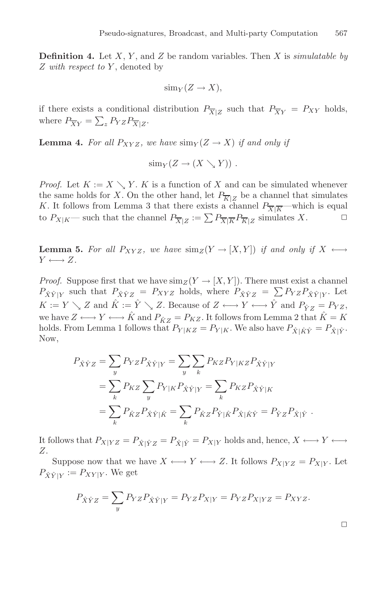**Definition 4.** Let X, Y, and Z be random variables. Then X is *simulatable by* Z *with respect to* Y , denoted by

$$
sim_Y(Z \to X),
$$

if there exists a conditional distribution  $P_{\overline{X}|Z}$  such that  $P_{\overline{X}Y} = P_{XY}$  holds, where  $P_{\overline{X}Y} = \sum_z P_{YZ} P_{\overline{X}|Z}$ .

**Lemma 4.** For all  $P_{XYZ}$ , we have  $\text{sim}_Y(Z \rightarrow X)$  *if and only if* 

$$
sim_Y(Z \to (X \searrow Y)) \ .
$$

*Proof.* Let  $K := X \setminus Y$ . K is a function of X and can be simulated whenever the same holds for X. On the other hand, let  $P_{\overline{K}|Z}$  be a channel that simulates K. It follows from Lemma 3 that there exists a channel  $P_{\overline{X}|\overline{K}}$ —which is equal to  $P_{X|K}$ —such that the channel  $P_{\overline{X}|\overline{Z}} := \sum P_{\overline{X}|\overline{K}} P_{\overline{K}|\overline{Z}}$  simulates X. to  $P_{X|K}$ — such that the channel  $P_{\overline{X}|Z} := \sum P_{\overline{X}|\overline{K}} P_{\overline{K}|Z}$  simulates X.

**Lemma 5.** For all  $P_{XYZ}$ , we have  $\text{sim}_Z(Y \rightarrow [X, Y])$  *if and only if*  $X \leftrightarrow$  $Y \longleftrightarrow Z$ .

*Proof.* Suppose first that we have  $\text{sim}_Z(Y \to [X, Y])$ . There must exist a channel  $P_{\hat{X}\hat{Y}|Y}$  such that  $P_{\hat{X}\hat{Y}Z} = P_{XYZ}$  holds, where  $P_{\hat{X}\hat{Y}Z} = \sum P_{YZ}P_{\hat{X}\hat{Y}|Y}$ . Let  $K := Y \searrow Z$  and  $\hat{K} := \hat{Y} \searrow Z$ . Because of  $Z \longleftrightarrow Y \longleftrightarrow \hat{Y}$  and  $P_{\hat{Y}Z} = P_{YZ}$ , we have  $Z \longleftrightarrow Y \longleftrightarrow \hat{K}$  and  $P_{\hat{K}Z} = P_{KZ}$ . It follows from Lemma 2 that  $\hat{K} = K$ holds. From Lemma 1 follows that  $P_{Y|KZ} = P_{Y|K}$ . We also have  $P_{\hat{X}|\hat{K}\hat{Y}} = P_{\hat{X}|\hat{Y}}$ . Now,

$$
P_{\hat{X}\hat{Y}Z} = \sum_{y} P_{YZ} P_{\hat{X}\hat{Y}|Y} = \sum_{y} \sum_{k} P_{KZ} P_{Y|KZ} P_{\hat{X}\hat{Y}|Y}
$$
  
= 
$$
\sum_{k} P_{KZ} \sum_{y} P_{Y|K} P_{\hat{X}\hat{Y}|Y} = \sum_{k} P_{KZ} P_{\hat{X}\hat{Y}|K}
$$
  
= 
$$
\sum_{k} P_{\hat{K}Z} P_{\hat{X}\hat{Y}|\hat{K}} = \sum_{k} P_{\hat{K}Z} P_{\hat{Y}|\hat{K}} P_{\hat{X}|\hat{K}\hat{Y}} = P_{\hat{Y}Z} P_{\hat{X}|\hat{Y}}.
$$

It follows that  $P_{X|YZ} = P_{\hat{X}|\hat{Y}Z} = P_{\hat{X}|\hat{Y}} = P_{X|Y}$  holds and, hence,  $X \longleftrightarrow Y \longleftrightarrow Y$ Z.

Suppose now that we have  $X \leftrightarrow Y \leftrightarrow Z$ . It follows  $P_{X|YZ} = P_{X|Y}$ . Let  $P_{\hat{X}\hat{Y}|Y} := P_{XY|Y}$ . We get

$$
P_{\hat{X}\hat{Y}Z} = \sum_{y} P_{YZ} P_{\hat{X}\hat{Y}|Y} = P_{YZ} P_{X|Y} = P_{YZ} P_{X|YZ} = P_{XYZ}.
$$

 $\Box$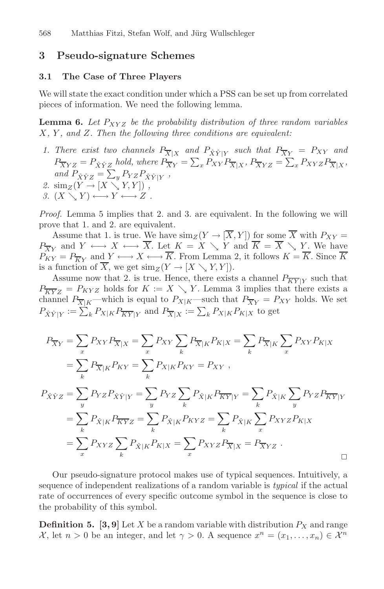### **3 Pseudo-signature Schemes**

#### **3.1 The Case of Three Players**

We will state the exact condition under which a PSS can be set up from correlated pieces of information. We need the following lemma.

**Lemma 6.** Let  $P_{XYZ}$  be the probability distribution of three random variables X*,* Y *, and* Z*. Then the following three conditions are equivalent:*

- *1. There exist two channels*  $P_{\overline{X}|X}$  *and*  $P_{\hat{X}\hat{Y}|Y}$  *such that*  $P_{\overline{X}Y} = P_{XY}$  *and*  $P_{\overline{X}YZ} = P_{\hat{X}\hat{Y}Z}$  hold, where  $P_{\overline{X}Y} = \sum_x P_{XY}P_{\overline{X}|X}$ ,  $P_{\overline{X}YZ} = \sum_x P_{XYZ}P_{\overline{X}|X}$ , and  $P_{\hat{X}\hat{Y}Z} = \sum_{y} P_{YZ} P_{\hat{X}\hat{Y}|Y}$ , 2.  $\operatorname{sim}_Z(Y \to [X \setminus Y, Y])$ ,
- $3. (X \setminus Y) \longleftrightarrow Y \longleftrightarrow Z$ .

*Proof.* Lemma 5 implies that 2. and 3. are equivalent. In the following we will prove that 1. and 2. are equivalent.

Assume that 1. is true. We have  $\dim_Z(Y \to [\overline{X}, Y])$  for some  $\overline{X}$  with  $P_{XY} =$  $P_{\overline{X}Y}$  and  $Y \longleftrightarrow X \longleftrightarrow \overline{X}$ . Let  $K = X \setminus Y$  and  $\overline{K} = \overline{X} \setminus Y$ . We have  $P_{KY} = P_{\overline{K}Y}$  and  $Y \longleftrightarrow X \longleftrightarrow \overline{K}$ . From Lemma 2, it follows  $K = \overline{K}$ . Since  $\overline{K}$ is a function of X, we get  $\dim_Z(Y \to [X \setminus Y, Y])$ .

Assume now that 2. is true. Hence, there exists a channel  $P_{\overline{KY}}$  such that  $P_{\overline{KYZ}} = P_{KYZ}$  holds for  $K := X \searrow Y$ . Lemma 3 implies that there exists a channel  $P_{\overline{X}|K}$ —which is equal to  $P_{X|K}$ —such that  $P_{\overline{X}Y} = P_{XY}$  holds. We set  $P_{\hat{X}\hat{Y}|Y} := \sum_{k} P_{X|K} P_{\overline{KY}|Y}$  and  $P_{\overline{X}|X} := \sum_{k} P_{X|K} P_{K|X}$  to get

$$
P_{\overline{X}Y} = \sum_{x} P_{XY} P_{\overline{X}|X} = \sum_{x} P_{XY} \sum_{k} P_{\overline{X}|K} P_{K|X} = \sum_{k} P_{\overline{X}|K} \sum_{x} P_{XY} P_{K|X}
$$
  
\n
$$
= \sum_{k} P_{\overline{X}|K} P_{KY} = \sum_{k} P_{X|K} P_{KY} = P_{XY},
$$
  
\n
$$
P_{\hat{X}\hat{Y}Z} = \sum_{y} P_{YZ} P_{\hat{X}\hat{Y}|Y} = \sum_{y} P_{YZ} \sum_{k} P_{\hat{X}|K} P_{\overline{KY}|Y} = \sum_{k} P_{\hat{X}|K} \sum_{y} P_{YZ} P_{\overline{KY}|Y}
$$
  
\n
$$
= \sum_{k} P_{\hat{X}|K} P_{\overline{KY}} = \sum_{k} P_{\hat{X}|K} P_{KY} = \sum_{k} P_{\hat{X}|K} \sum_{x} P_{XYZ} P_{K|X}
$$
  
\n
$$
= \sum_{x} P_{XYZ} \sum_{k} P_{\hat{X}|K} P_{K|X} = \sum_{x} P_{XYZ} P_{\overline{X}|X} = P_{\overline{XY}Z}.
$$

Our pseudo-signature protocol makes use of typical sequences. Intuitively, a sequence of independent realizations of a random variable is *typical* if the actual rate of occurrences of every specific outcome symbol in the sequence is close to the probability of this symbol.

**Definition 5. [3, 9]** Let X be a random variable with distribution  $P_X$  and range  $\mathcal{X}$ , let  $n > 0$  be an integer, and let  $\gamma > 0$ . A sequence  $x^n = (x_1, \ldots, x_n) \in \mathcal{X}^n$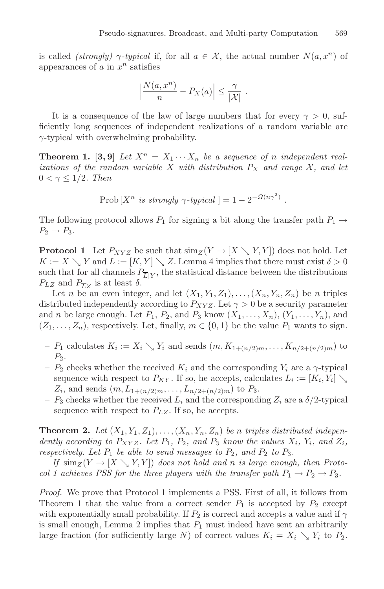is called *(strongly)*  $\gamma$ -typical if, for all  $a \in \mathcal{X}$ , the actual number  $N(a, x^n)$  of appearances of  $a$  in  $x^n$  satisfies

$$
\left|\frac{N(a,x^n)}{n} - P_X(a)\right| \le \frac{\gamma}{|\mathcal{X}|} .
$$

It is a consequence of the law of large numbers that for every  $\gamma > 0$ , sufficiently long sequences of independent realizations of a random variable are  $\gamma$ -typical with overwhelming probability.

**Theorem 1.** [3,9] Let  $X^n = X_1 \cdots X_n$  be a sequence of n independent real*izations of the random variable* X with distribution  $P_X$  and range X, and let  $0 < \gamma \leq 1/2$ . Then

$$
Prob[Xn is strongly \gamma-typical] = 1 - 2^{-\Omega(n\gamma^2)}.
$$

The following protocol allows  $P_1$  for signing a bit along the transfer path  $P_1 \rightarrow$  $P_2 \rightarrow P_3.$ 

**Protocol 1** Let  $P_{XYZ}$  be such that  $\text{sim}_Z(Y \to [X \setminus Y, Y])$  does not hold. Let  $K := X \setminus Y$  and  $L := [K, Y] \setminus Z$ . Lemma 4 implies that there must exist  $\delta > 0$ such that for all channels  $P_{\overline{L}|Y}$ , the statistical distance between the distributions  $P_{LZ}$  and  $P_{\overline{L}Z}$  is at least  $\delta$ .

Let *n* be an even integer, and let  $(X_1, Y_1, Z_1), \ldots, (X_n, Y_n, Z_n)$  be *n* triples distributed independently according to  $P_{XYZ}$ . Let  $\gamma > 0$  be a security parameter and n be large enough. Let  $P_1$ ,  $P_2$ , and  $P_3$  know  $(X_1, \ldots, X_n)$ ,  $(Y_1, \ldots, Y_n)$ , and  $(Z_1,...,Z_n)$ , respectively. Let, finally,  $m \in \{0,1\}$  be the value  $P_1$  wants to sign.

- $P_1$  calculates  $K_i := X_i \searrow Y_i$  and sends  $(m, K_{1+(n/2)m}, \ldots, K_{n/2+(n/2)m})$  to  $P_2$ .
- $P_2$  checks whether the received  $K_i$  and the corresponding  $Y_i$  are a  $\gamma$ -typical sequence with respect to  $P_{KY}$ . If so, he accepts, calculates  $L_i := [K_i, Y_i] \setminus$  $Z_i$ , and sends  $(m, L_{1+(n/2)m}, \ldots, L_{n/2+(n/2)m})$  to  $P_3$ .
- $P_3$  checks whether the received  $L_i$  and the corresponding  $Z_i$  are a  $\delta/2$ -typical sequence with respect to  $P_{LZ}$ . If so, he accepts.

**Theorem 2.** Let  $(X_1, Y_1, Z_1), \ldots, (X_n, Y_n, Z_n)$  be *n* triples distributed indepen*dently according to*  $P_{XYZ}$ *. Let*  $P_1$ *,*  $P_2$ *, and*  $P_3$  *know the values*  $X_i$ *,*  $Y_i$ *, and*  $Z_i$ *, respectively. Let*  $P_1$  *be able to send messages to*  $P_2$ *, and*  $P_2$  *to*  $P_3$ *.* 

If  $\lim_{Z}(Y \to |X \setminus Y, Y|)$  does not hold and n is large enough, then Proto*col 1 achieves PSS for the three players with the transfer path*  $P_1 \rightarrow P_2 \rightarrow P_3$ *.* 

*Proof.* We prove that Protocol 1 implements a PSS. First of all, it follows from Theorem 1 that the value from a correct sender  $P_1$  is accepted by  $P_2$  except with exponentially small probability. If  $P_2$  is correct and accepts a value and if  $\gamma$ is small enough, Lemma 2 implies that  $P_1$  must indeed have sent an arbitrarily large fraction (for sufficiently large N) of correct values  $K_i = X_i \searrow Y_i$  to  $P_2$ .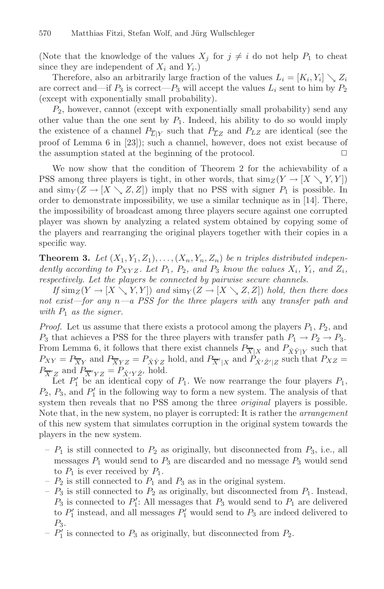(Note that the knowledge of the values  $X_j$  for  $j \neq i$  do not help  $P_1$  to cheat since they are independent of  $X_i$  and  $Y_i$ .)

Therefore, also an arbitrarily large fraction of the values  $L_i = [K_i, Y_i] \setminus Z_i$ are correct and—if  $P_3$  is correct— $P_3$  will accept the values  $L_i$  sent to him by  $P_2$ (except with exponentially small probability).

 $P_2$ , however, cannot (except with exponentially small probability) send any other value than the one sent by  $P_1$ . Indeed, his ability to do so would imply the existence of a channel  $P_{\overline{L}|Y}$  such that  $P_{\overline{L}Z}$  and  $P_{LZ}$  are identical (see the proof of Lemma 6 in [23]); such a channel, however, does not exist because of the assumption stated at the beginning of the protocol.  $\Box$ 

We now show that the condition of Theorem 2 for the achievability of a PSS among three players is tight, in other words, that  $\text{sim}_Z(Y \to [X \setminus Y, Y])$ and  $\sin_Y (Z \to [X \setminus Z, Z])$  imply that no PSS with signer  $P_1$  is possible. In order to demonstrate impossibility, we use a similar technique as in [14]. There, the impossibility of broadcast among three players secure against one corrupted player was shown by analyzing a related system obtained by copying some of the players and rearranging the original players together with their copies in a specific way.

**Theorem 3.** Let  $(X_1, Y_1, Z_1), \ldots, (X_n, Y_n, Z_n)$  be *n* triples distributed indepen*dently according to*  $P_{XYZ}$ *. Let*  $P_1$ *,*  $P_2$ *, and*  $P_3$  *know the values*  $X_i$ *,*  $Y_i$ *, and*  $Z_i$ *, respectively. Let the players be connected by pairwise secure channels.*

*If*  $\operatorname{sim}_Z(Y \to [X \setminus Y, Y])$  *and*  $\operatorname{sim}_Y(Z \to [X \setminus Z, Z])$  *hold, then there does not exist—for any* n*—a PSS for the three players with* any *transfer path and with* P<sup>1</sup> *as the signer.*

*Proof.* Let us assume that there exists a protocol among the players  $P_1$ ,  $P_2$ , and  $P_3$  that achieves a PSS for the three players with transfer path  $P_1 \rightarrow P_2 \rightarrow P_3$ . From Lemma 6, it follows that there exist channels  $P_{\overline{X}|X}$  and  $P_{\hat{X}\hat{Y}|Y}$  such that  $P_{XY} = P_{\overline{X}Y}$  and  $P_{\overline{X}YZ} = P_{\hat{X}\hat{Y}Z}$  hold, and  $P_{\overline{X}'|X}$  and  $P_{\hat{X}'\hat{Z}'|Z}$  such that  $P_{XZ} =$  $P_{\overline{X}'Z}$  and  $P_{\overline{X}'YZ} = P_{\hat{X}'Y\hat{Z}'}$  hold.

Let  $P'_1$  be an identical copy of  $P_1$ . We now rearrange the four players  $P_1$ ,  $P_2$ ,  $P_3$ , and  $P'_1$  in the following way to form a new system. The analysis of that system then reveals that no PSS among the three *original* players is possible. Note that, in the new system, no player is corrupted: It is rather the *arrangement* of this new system that simulates corruption in the original system towards the players in the new system.

- $P_1$  is still connected to  $P_2$  as originally, but disconnected from  $P_3$ , i.e., all messages  $P_1$  would send to  $P_3$  are discarded and no message  $P_3$  would send to  $P_1$  is ever received by  $P_1$ .
- $P_2$  is still connected to  $P_1$  and  $P_3$  as in the original system.
- $P_3$  is still connected to  $P_2$  as originally, but disconnected from  $P_1$ . Instead,  $P_3$  is connected to  $P'_1$ : All messages that  $P_3$  would send to  $P_1$  are delivered to  $P'_1$  instead, and all messages  $P'_1$  would send to  $P_3$  are indeed delivered to  $P_3$ .
- $P'_1$  is connected to  $P_3$  as originally, but disconnected from  $P_2$ .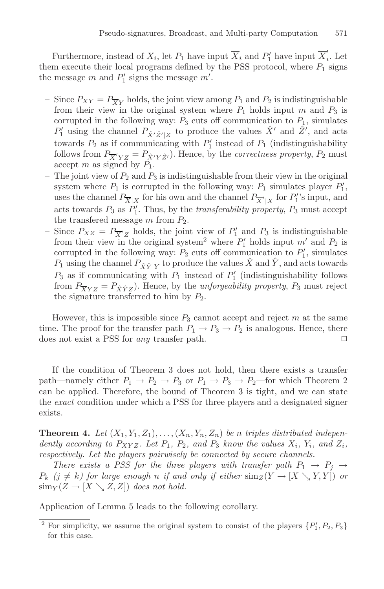Furthermore, instead of  $X_i$ , let  $P_1$  have input  $\overline{X}_i$  and  $P'_1$  have input  $\overline{X}'_i$ . Let them execute their local programs defined by the PSS protocol, where  $P_1$  signs the message  $m$  and  $P'_1$  signs the message  $m'$ .

- Since  $P_{XY} = P_{\overline{XY}}$  holds, the joint view among  $P_1$  and  $P_2$  is indistinguishable from their view in the original system where  $P_1$  holds input m and  $P_3$  is corrupted in the following way:  $P_3$  cuts off communication to  $P_1$ , simulates  $P'_1$  using the channel  $P_{\hat{X}^{\prime} \hat{Z}^{\prime} | Z}$  to produce the values  $\hat{X}'$  and  $\hat{Z}'$ , and acts towards  $P_2$  as if communicating with  $P'_1$  instead of  $P_1$  (indistinguishability follows from  $P_{\overline{X}'YZ} = P_{\hat{X}'Y\hat{Z}'}$ . Hence, by the *correctness property*,  $P_2$  must accept m as signed by  $P_1$ .
- The joint view of  $P_2$  and  $P_3$  is indistinguishable from their view in the original system where  $P_1$  is corrupted in the following way:  $P_1$  simulates player  $P'_1$ , uses the channel  $P_{\overline{X}|X}$  for his own and the channel  $P_{\overline{X}'|X}$  for  $P_1'$ 's input, and acts towards  $P_3$  as  $P'_1$ . Thus, by the *transferability property*,  $P_3$  must accept the transferred message m from  $P_2$ .
- Since  $P_{XZ} = P_{\overline{X}'Z}$  holds, the joint view of  $P'_1$  and  $P_3$  is indistinguishable from their view in the original system<sup>2</sup> where  $P'_1$  holds input  $m'$  and  $P_2$  is corrupted in the following way:  $P_2$  cuts off communication to  $P'_1$ , simulates  $P_1$  using the channel  $P_{\hat{X}\hat{Y}|Y}$  to produce the values  $\hat{X}$  and  $\hat{Y}$ , and acts towards  $P_3$  as if communicating with  $P_1$  instead of  $P'_1$  (indistinguishability follows from  $P_{\overline{X}YZ} = P_{\hat{X}\hat{Y}Z}$ ). Hence, by the *unforgeability property*,  $P_3$  must reject the signature transferred to him by  $P_2$ .

However, this is impossible since  $P_3$  cannot accept and reject m at the same time. The proof for the transfer path  $P_1 \rightarrow P_3 \rightarrow P_2$  is analogous. Hence, there does not exist a PSS for *any* transfer path.  $\Box$ 

If the condition of Theorem 3 does not hold, then there exists a transfer path—namely either  $P_1 \rightarrow P_2 \rightarrow P_3$  or  $P_1 \rightarrow P_3 \rightarrow P_2$ —for which Theorem 2 can be applied. Therefore, the bound of Theorem 3 is tight, and we can state the *exact* condition under which a PSS for three players and a designated signer exists.

**Theorem 4.** Let  $(X_1, Y_1, Z_1), \ldots, (X_n, Y_n, Z_n)$  be *n* triples distributed indepen*dently according to*  $P_{XYZ}$ *. Let*  $P_1$ *,*  $P_2$ *, and*  $P_3$  *know the values*  $X_i$ *,*  $Y_i$ *, and*  $Z_i$ *, respectively. Let the players pairwisely be connected by secure channels.*

*There exists a PSS for the three players with transfer path*  $P_1 \rightarrow P_i \rightarrow$  $P_k$  ( $j \neq k$ ) for large enough n if and only if either  $\text{sim}_Z(Y \to [X \setminus Y, Y])$  or  $\operatorname{sim}_Y(Z \to [X \setminus Z, Z])$  does not hold.

Application of Lemma 5 leads to the following corollary.

<sup>&</sup>lt;sup>2</sup> For simplicity, we assume the original system to consist of the players  $\{P'_1, P_2, P_3\}$ for this case.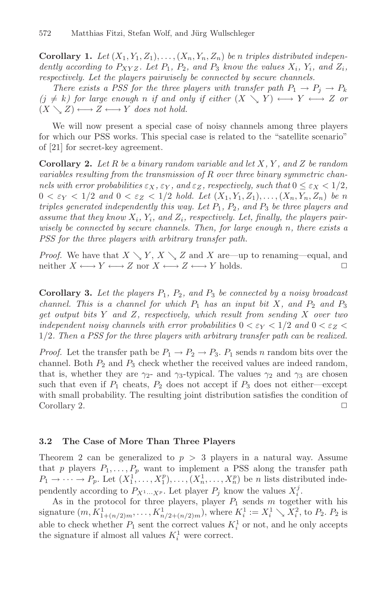**Corollary 1.** Let  $(X_1, Y_1, Z_1), \ldots, (X_n, Y_n, Z_n)$  be *n* triples distributed indepen*dently according to*  $P_{XYZ}$ *. Let*  $P_1$ *,*  $P_2$ *, and*  $P_3$  *know the values*  $X_i$ *,*  $Y_i$ *, and*  $Z_i$ *, respectively. Let the players pairwisely be connected by secure channels.*

*There exists a PSS for the three players with transfer path*  $P_1 \rightarrow P_j \rightarrow P_k$  $(j \neq k)$  for large enough n if and only if either  $(X \setminus Y) \longleftrightarrow Y \longleftrightarrow Z$  or  $(X \searrow Z) \longleftrightarrow Z \longleftrightarrow Y$  does not hold.

We will now present a special case of noisy channels among three players for which our PSS works. This special case is related to the "satellite scenario" of [21] for secret-key agreement.

**Corollary 2.** *Let* R *be a binary random variable and let* X*,* Y *, and* Z *be random variables resulting from the transmission of* R *over three binary symmetric channels with error probabilities*  $\varepsilon_X$ ,  $\varepsilon_Y$ , and  $\varepsilon_Z$ , respectively, such that  $0 \leq \varepsilon_X < 1/2$ ,  $0 < \varepsilon_Y < 1/2$  and  $0 < \varepsilon_Z < 1/2$  hold. Let  $(X_1, Y_1, Z_1), \ldots, (X_n, Y_n, Z_n)$  be n *triples generated independently this way. Let*  $P_1$ *,*  $P_2$ *, and*  $P_3$  *be three players and* assume that they know  $X_i$ ,  $Y_i$ , and  $Z_i$ , respectively. Let, finally, the players pair*wisely be connected by secure channels. Then, for large enough* n*, there exists a PSS for the three players with arbitrary transfer path.*

*Proof.* We have that  $X \setminus Y$ ,  $X \setminus Z$  and X are—up to renaming—equal, and neither  $X \longleftrightarrow Y \longleftrightarrow Z$  nor  $X \longleftrightarrow Z \longleftrightarrow Y$  holds.

**Corollary 3.** Let the players  $P_1$ ,  $P_2$ , and  $P_3$  be connected by a noisy broadcast *channel. This is a channel for which*  $P_1$  *has an input bit*  $X$ *, and*  $P_2$  *and*  $P_3$ *get output bits* Y *and* Z*, respectively, which result from sending* X *over two independent noisy channels with error probabilities*  $0 < \varepsilon_Y < 1/2$  *and*  $0 < \varepsilon_Z <$ 1/2*. Then a PSS for the three players with arbitrary transfer path can be realized.*

*Proof.* Let the transfer path be  $P_1 \rightarrow P_2 \rightarrow P_3$ .  $P_1$  sends n random bits over the channel. Both  $P_2$  and  $P_3$  check whether the received values are indeed random, that is, whether they are  $\gamma_2$ - and  $\gamma_3$ -typical. The values  $\gamma_2$  and  $\gamma_3$  are chosen such that even if  $P_1$  cheats,  $P_2$  does not accept if  $P_3$  does not either—except with small probability. The resulting joint distribution satisfies the condition of Corollary 2.

### **3.2 The Case of More Than Three Players**

Theorem 2 can be generalized to  $p > 3$  players in a natural way. Assume that p players  $P_1, \ldots, P_p$  want to implement a PSS along the transfer path  $P_1 \to \cdots \to P_p$ . Let  $(X_1^1, \ldots, X_1^p), \ldots, (X_n^1, \ldots, X_n^p)$  be *n* lists distributed independently according to  $P_{X^1\cdots X^p}$ . Let player  $P_j$  know the values  $X_i^j$ .

As in the protocol for three players, player  $P_1$  sends m together with his signature  $(m, K^1_{1+(n/2)m}, \ldots, K^1_{n/2+(n/2)m})$ , where  $K^1_i := X^1_i \searrow X^2_i$ , to  $P_2$ .  $P_2$  is able to check whether  $P_1$  sent the correct values  $K_i^1$  or not, and he only accepts the signature if almost all values  $K_i^1$  were correct.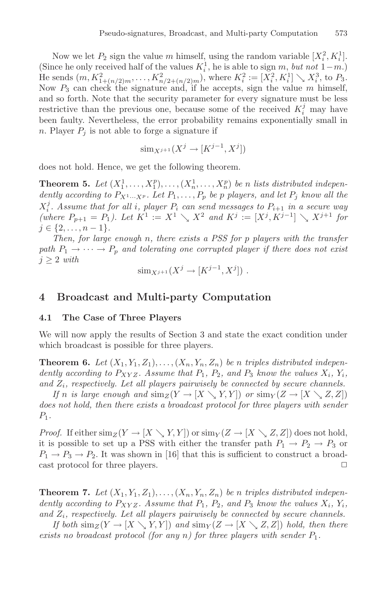Now we let  $P_2$  sign the value m himself, using the random variable  $[X_i^2, K_i^1]$ . (Since he only received half of the values  $K_i^1$ , he is able to sign m, *but not*  $1-m$ .) He sends  $(m, K^2_{1+(n/2)m}, \ldots, K^2_{n/2+(n/2)m})$ , where  $K^2_i := [X^2_i, K^1_i] \searrow X^3_i$ , to  $P_3$ . Now  $P_3$  can check the signature and, if he accepts, sign the value m himself, and so forth. Note that the security parameter for every signature must be less restrictive than the previous one, because some of the received  $K_i^j$  may have been faulty. Nevertheless, the error probability remains exponentially small in n. Player  $P_i$  is not able to forge a signature if

$$
\operatorname{sim}_{X^{j+1}}(X^j \to [K^{j-1}, X^j])
$$

does not hold. Hence, we get the following theorem.

**Theorem 5.** Let  $(X_1^1, \ldots, X_1^p), \ldots, (X_n^1, \ldots, X_n^p)$  be *n* lists distributed indepen*dently according to*  $P_{X^1\cdots X^p}$ *. Let*  $P_1, \ldots, P_p$  *be* p players, and let  $P_j$  know all the  $X_i^j$ . Assume that for all *i*, player  $P_i$  can send messages to  $P_{i+1}$  in a secure way *(where*  $P_{p+1} = P_1$ *). Let*  $K^1 := X^1 \searrow X^2$  *and*  $K^j := [X^j, K^{j-1}] \searrow X^{j+1}$  *for*  $j \in \{2, \ldots, n-1\}.$ 

*Then, for large enough* n*, there exists a PSS for* p *players with the transfer* path  $P_1 \rightarrow \cdots \rightarrow P_p$  and tolerating one corrupted player if there does not exist  $j \geq 2$  *with* 

$$
\operatorname{sim}_{X^{j+1}}(X^j \to [K^{j-1}, X^j]) .
$$

### **4 Broadcast and Multi-party Computation**

#### **4.1 The Case of Three Players**

We will now apply the results of Section 3 and state the exact condition under which broadcast is possible for three players.

**Theorem 6.** Let  $(X_1, Y_1, Z_1), \ldots, (X_n, Y_n, Z_n)$  be *n* triples distributed indepen*dently according to*  $P_{XYZ}$ *. Assume that*  $P_1$ *,*  $P_2$ *, and*  $P_3$  *know the values*  $X_i$ *,*  $Y_i$ *, and* Zi*, respectively. Let all players pairwisely be connected by secure channels.*

*If* n *is large enough and*  $\text{sim}_Z(Y \to [X \setminus Y, Y])$  *or*  $\text{sim}_Y(Z \to [X \setminus Z, Z])$ *does not hold, then there exists a broadcast protocol for three players with sender* P1*.*

*Proof.* If either  $\operatorname{sim}_Z(Y \to [X \setminus Y, Y])$  or  $\operatorname{sim}_Y(Z \to [X \setminus Z, Z])$  does not hold, it is possible to set up a PSS with either the transfer path  $P_1 \rightarrow P_2 \rightarrow P_3$  or  $P_1 \rightarrow P_3 \rightarrow P_2$ . It was shown in [16] that this is sufficient to construct a broadcast protocol for three players.  $\Box$ 

**Theorem 7.** Let  $(X_1, Y_1, Z_1), \ldots, (X_n, Y_n, Z_n)$  be *n* triples distributed indepen*dently according to*  $P_{XYZ}$ *. Assume that*  $P_1$ *,*  $P_2$ *, and*  $P_3$  *know the values*  $X_i$ *,*  $Y_i$ *, and* Zi*, respectively. Let all players pairwisely be connected by secure channels.*

*If both*  $\operatorname{sim}_Z(Y \to [X \setminus Y, Y])$  *and*  $\operatorname{sim}_Y(Z \to [X \setminus Z, Z])$  *hold, then there exists no broadcast protocol (for any n) for three players with sender*  $P_1$ .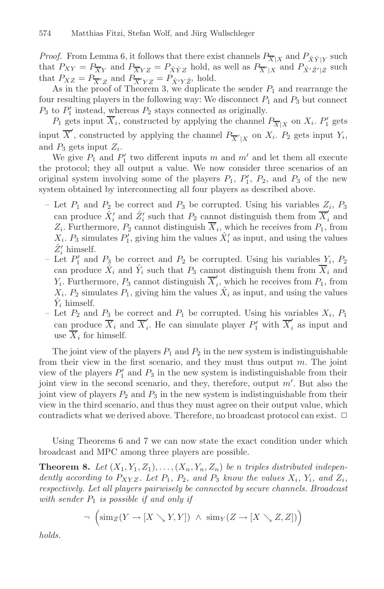*Proof.* From Lemma 6, it follows that there exist channels  $P_{\overline{X}|X}$  and  $P_{\hat{X}\hat{Y}|Y}$  such that  $P_{XY} = P_{\overline{X}Y}$  and  $P_{\overline{X}YZ} = P_{\hat{X}\hat{Y}Z}$  hold, as well as  $P_{\overline{X}'|X}$  and  $P_{\hat{X}'\hat{Z}'|Z}$  such that  $P_{XZ} = P_{\overline{X}'Z}$  and  $P_{\overline{X}'YZ} = P_{\hat{X}'Y\hat{Z}'}$  hold.

As in the proof of Theorem 3, we duplicate the sender  $P_1$  and rearrange the four resulting players in the following way: We disconnect  $P_1$  and  $P_3$  but connect  $P_3$  to  $P'_1$  instead, whereas  $P_2$  stays connected as originally.

 $P_1$  gets input  $X_i$ , constructed by applying the channel  $P_{\overline{X}|X}$  on  $X_i$ .  $P'_1$  gets input  $\overline{X}'$ , constructed by applying the channel  $P_{\overline{X}'|X}$  on  $X_i$ .  $P_2$  gets input  $Y_i$ , and  $P_3$  gets input  $Z_i$ .

We give  $P_1$  and  $P'_1$  two different inputs m and m' and let them all execute the protocol; they all output a value. We now consider three scenarios of an original system involving some of the players  $P_1$ ,  $P'_1$ ,  $P_2$ , and  $P_3$  of the new system obtained by interconnecting all four players as described above.

- Let  $P_1$  and  $P_2$  be correct and  $P_3$  be corrupted. Using his variables  $Z_i$ ,  $P_3$ can produce  $\hat{X}'_i$  and  $\hat{Z}'_i$  such that  $P_2$  cannot distinguish them from  $\overline{X}'_i$  and  $Z_i$ . Furthermore,  $P_2$  cannot distinguish  $\overline{X}_i$ , which he receives from  $P_1$ , from  $X_i$ .  $P_3$  simulates  $P'_1$ , giving him the values  $\hat{X}'_i$  as input, and using the values  $\hat{Z}'_i$  himself.
- Let  $P'_1$  and  $P_3$  be correct and  $P_2$  be corrupted. Using his variables  $Y_i$ ,  $P_2$ can produce  $\hat{X}_i$  and  $\hat{Y}_i$  such that  $P_3$  cannot distinguish them from  $\overline{X}_i$  and  $Y_i$ . Furthermore,  $P_3$  cannot distinguish  $\overline{X}'_i$ , which he receives from  $P_1$ , from  $X_i$ .  $P_2$  simulates  $P_1$ , giving him the values  $\hat{X}_i$  as input, and using the values  $\hat{Y}_i$  himself.
- Let  $P_2$  and  $P_3$  be correct and  $P_1$  be corrupted. Using his variables  $X_i$ ,  $P_1$ can produce  $\overline{X}_i$  and  $\overline{X}'_i$ . He can simulate player  $P'_1$  with  $\overline{X}'_i$  as input and use  $X_i$  for himself.

The joint view of the players  $P_1$  and  $P_2$  in the new system is indistinguishable from their view in the first scenario, and they must thus output  $m$ . The joint view of the players  $P'_1$  and  $P_3$  in the new system is indistinguishable from their joint view in the second scenario, and they, therefore, output  $m'$ . But also the joint view of players  $P_2$  and  $P_3$  in the new system is indistinguishable from their view in the third scenario, and thus they must agree on their output value, which contradicts what we derived above. Therefore, no broadcast protocol can exist.  $\Box$ 

Using Theorems 6 and 7 we can now state the exact condition under which broadcast and MPC among three players are possible.

**Theorem 8.** Let  $(X_1, Y_1, Z_1), \ldots, (X_n, Y_n, Z_n)$  be *n* triples distributed indepen*dently according to*  $P_{XYZ}$ *. Let*  $P_1$ *,*  $P_2$ *, and*  $P_3$  *know the values*  $X_i$ *,*  $Y_i$ *, and*  $Z_i$ *, respectively. Let all players pairwisely be connected by secure channels. Broadcast with sender*  $P_1$  *is possible if and only if* 

$$
\neg \left( \operatorname{sim}_Z(Y \to [X \setminus Y, Y]) \land \operatorname{sim}_Y(Z \to [X \setminus Z, Z]) \right)
$$

*holds.*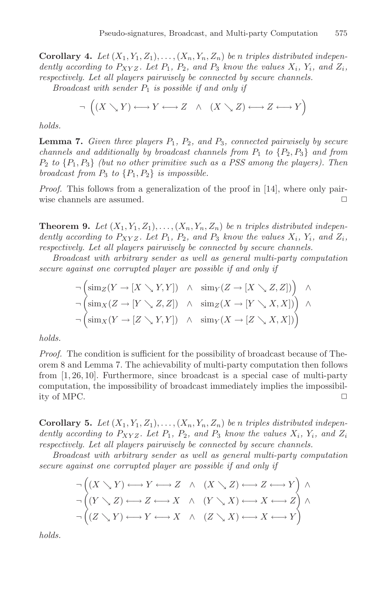**Corollary 4.** Let  $(X_1, Y_1, Z_1), \ldots, (X_n, Y_n, Z_n)$  be *n* triples distributed indepen*dently according to*  $P_{XYZ}$ *. Let*  $P_1$ *,*  $P_2$ *, and*  $P_3$  *know the values*  $X_i$ *,*  $Y_i$ *, and*  $Z_i$ *, respectively. Let all players pairwisely be connected by secure channels.*

*Broadcast with sender*  $P_1$  *is possible if and only if* 

$$
\neg \left( (X \searrow Y) \longleftrightarrow Y \longleftrightarrow Z \quad \wedge \quad (X \searrow Z) \longleftrightarrow Z \longleftrightarrow Y \right)
$$

*holds.*

**Lemma 7.** *Given three players* P1*,* P2*, and* P3*, connected pairwisely by secure channels and additionally by broadcast channels from*  $P_1$  *to*  $\{P_2, P_3\}$  *and from*  $P_2$  *to*  $\{P_1, P_3\}$  *(but no other primitive such as a PSS among the players). Then broadcast from*  $P_3$  *to*  $\{P_1, P_2\}$  *is impossible.* 

*Proof.* This follows from a generalization of the proof in [14], where only pairwise channels are assumed.  $\Box$ 

**Theorem 9.** Let  $(X_1, Y_1, Z_1), \ldots, (X_n, Y_n, Z_n)$  be *n* triples distributed indepen*dently according to*  $P_{XYZ}$ *. Let*  $P_1$ *,*  $P_2$ *, and*  $P_3$  *know the values*  $X_i$ *,*  $Y_i$ *, and*  $Z_i$ *, respectively. Let all players pairwisely be connected by secure channels.*

*Broadcast with arbitrary sender as well as general multi-party computation secure against one corrupted player are possible if and only if*

$$
\neg \left( \operatorname{sim}_Z(Y \to [X \searrow Y, Y]) \quad \wedge \quad \operatorname{sim}_Y(Z \to [X \searrow Z, Z]) \right) \quad \wedge
$$
  

$$
\neg \left( \operatorname{sim}_X(Z \to [Y \searrow Z, Z]) \quad \wedge \quad \operatorname{sim}_Z(X \to [Y \searrow X, X]) \right) \quad \wedge
$$
  

$$
\neg \left( \operatorname{sim}_X(Y \to [Z \searrow Y, Y]) \quad \wedge \quad \operatorname{sim}_Y(X \to [Z \searrow X, X]) \right)
$$

*holds.*

*Proof.* The condition is sufficient for the possibility of broadcast because of Theorem 8 and Lemma 7. The achievability of multi-party computation then follows from [1, 26, 10]. Furthermore, since broadcast is a special case of multi-party computation, the impossibility of broadcast immediately implies the impossibility of MPC.

**Corollary 5.** Let  $(X_1, Y_1, Z_1), \ldots, (X_n, Y_n, Z_n)$  be *n* triples distributed indepen*dently according to*  $P_{XYZ}$ *. Let*  $P_1$ *,*  $P_2$ *, and*  $P_3$  *know the values*  $X_i$ *,*  $Y_i$ *, and*  $Z_i$ *respectively. Let all players pairwisely be connected by secure channels.*

*Broadcast with arbitrary sender as well as general multi-party computation secure against one corrupted player are possible if and only if*

$$
\neg \left( (X \searrow Y) \longleftrightarrow Y \longleftrightarrow Z \land (X \searrow Z) \longleftrightarrow Z \longleftrightarrow Y \right) \land \n\neg \left( (Y \searrow Z) \longleftrightarrow Z \longleftrightarrow X \land (Y \searrow X) \longleftrightarrow X \longleftrightarrow Z \right) \land \n\neg \left( (Z \searrow Y) \longleftrightarrow Y \longleftrightarrow X \land (Z \searrow X) \longleftrightarrow X \longleftrightarrow Y \right)
$$

*holds.*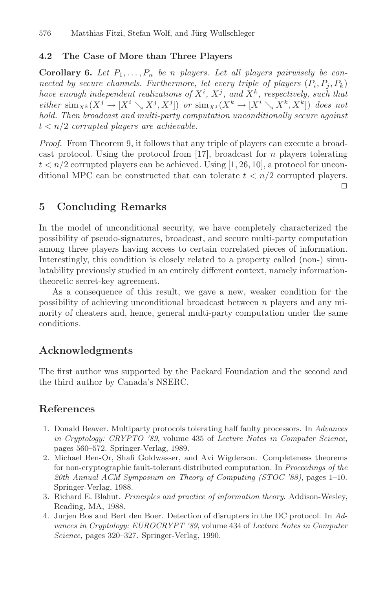#### **4.2 The Case of More than Three Players**

**Corollary 6.** Let  $P_1, \ldots, P_n$  be *n* players. Let all players pairwisely be con*nected by secure channels. Furthermore, let every triple of players*  $(P_i, P_j, P_k)$ *have enough independent realizations of*  $X^i$ ,  $X^j$ , and  $X^k$ , respectively, such that  $either \ \n\lim_{X^k} (X^j \to [X^i \setminus X^j, X^j]) \ \n\text{or} \ \n\lim_{X^j} (X^k \to [X^i \setminus X^k, X^k]) \ \n\text{does not}$ *hold. Then broadcast and multi-party computation unconditionally secure against* t < n/2 *corrupted players are achievable.*

*Proof.* From Theorem 9, it follows that any triple of players can execute a broadcast protocol. Using the protocol from [17], broadcast for n players tolerating  $t < n/2$  corrupted players can be achieved. Using [1, 26, 10], a protocol for unconditional MPC can be constructed that can tolerate  $t < n/2$  corrupted players.  $\Box$ 

# **5 Concluding Remarks**

In the model of unconditional security, we have completely characterized the possibility of pseudo-signatures, broadcast, and secure multi-party computation among three players having access to certain correlated pieces of information. Interestingly, this condition is closely related to a property called (non-) simulatability previously studied in an entirely different context, namely informationtheoretic secret-key agreement.

As a consequence of this result, we gave a new, weaker condition for the possibility of achieving unconditional broadcast between n players and any minority of cheaters and, hence, general multi-party computation under the same conditions.

# **Acknowledgments**

The first author was supported by the Packard Foundation and the second and the third author by Canada's NSERC.

# **References**

- 1. Donald Beaver. Multiparty protocols tolerating half faulty processors. In *Advances in Cryptology: CRYPTO '89*, volume 435 of *Lecture Notes in Computer Science*, pages 560–572. Springer-Verlag, 1989.
- 2. Michael Ben-Or, Shafi Goldwasser, and Avi Wigderson. Completeness theorems for non-cryptographic fault-tolerant distributed computation. In *Proceedings of the 20th Annual ACM Symposium on Theory of Computing (STOC '88)*, pages 1–10. Springer-Verlag, 1988.
- 3. Richard E. Blahut. *Principles and practice of information theory*. Addison-Wesley, Reading, MA, 1988.
- 4. Jurjen Bos and Bert den Boer. Detection of disrupters in the DC protocol. In *Advances in Cryptology: EUROCRYPT '89*, volume 434 of *Lecture Notes in Computer Science*, pages 320–327. Springer-Verlag, 1990.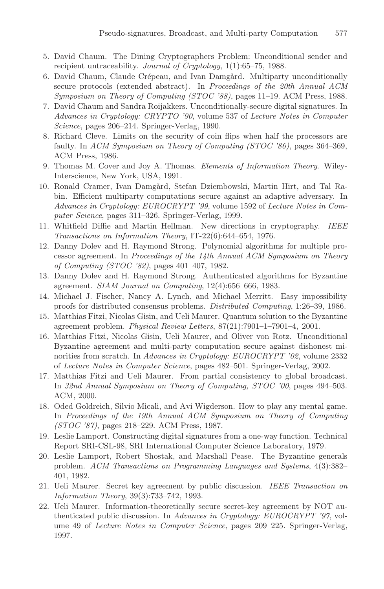- 5. David Chaum. The Dining Cryptographers Problem: Unconditional sender and recipient untraceability. *Journal of Cryptology*, 1(1):65–75, 1988.
- 6. David Chaum, Claude Crépeau, and Ivan Damgård. Multiparty unconditionally secure protocols (extended abstract). In *Proceedings of the 20th Annual ACM Symposium on Theory of Computing (STOC '88)*, pages 11–19. ACM Press, 1988.
- 7. David Chaum and Sandra Roijakkers. Unconditionally-secure digital signatures. In *Advances in Cryptology: CRYPTO '90*, volume 537 of *Lecture Notes in Computer Science*, pages 206–214. Springer-Verlag, 1990.
- 8. Richard Cleve. Limits on the security of coin flips when half the processors are faulty. In *ACM Symposium on Theory of Computing (STOC '86)*, pages 364–369, ACM Press, 1986.
- 9. Thomas M. Cover and Joy A. Thomas. *Elements of Information Theory*. Wiley-Interscience, New York, USA, 1991.
- 10. Ronald Cramer, Ivan Damgård, Stefan Dziembowski, Martin Hirt, and Tal Rabin. Efficient multiparty computations secure against an adaptive adversary. In *Advances in Cryptology: EUROCRYPT '99*, volume 1592 of *Lecture Notes in Computer Science*, pages 311–326. Springer-Verlag, 1999.
- 11. Whitfield Diffie and Martin Hellman. New directions in cryptography. *IEEE Transactions on Information Theory*, IT-22(6):644–654, 1976.
- 12. Danny Dolev and H. Raymond Strong. Polynomial algorithms for multiple processor agreement. In *Proceedings of the 14th Annual ACM Symposium on Theory of Computing (STOC '82)*, pages 401–407, 1982.
- 13. Danny Dolev and H. Raymond Strong. Authenticated algorithms for Byzantine agreement. *SIAM Journal on Computing*, 12(4):656–666, 1983.
- 14. Michael J. Fischer, Nancy A. Lynch, and Michael Merritt. Easy impossibility proofs for distributed consensus problems. *Distributed Computing*, 1:26–39, 1986.
- 15. Matthias Fitzi, Nicolas Gisin, and Ueli Maurer. Quantum solution to the Byzantine agreement problem. *Physical Review Letters*, 87(21):7901–1–7901–4, 2001.
- 16. Matthias Fitzi, Nicolas Gisin, Ueli Maurer, and Oliver von Rotz. Unconditional Byzantine agreement and multi-party computation secure against dishonest minorities from scratch. In *Advances in Cryptology: EUROCRYPT '02*, volume 2332 of *Lecture Notes in Computer Science*, pages 482–501. Springer-Verlag, 2002.
- 17. Matthias Fitzi and Ueli Maurer. From partial consistency to global broadcast. In *32nd Annual Symposium on Theory of Computing, STOC '00*, pages 494–503. ACM, 2000.
- 18. Oded Goldreich, Silvio Micali, and Avi Wigderson. How to play any mental game. In *Proceedings of the 19th Annual ACM Symposium on Theory of Computing (STOC '87)*, pages 218–229. ACM Press, 1987.
- 19. Leslie Lamport. Constructing digital signatures from a one-way function. Technical Report SRI-CSL-98, SRI International Computer Science Laboratory, 1979.
- 20. Leslie Lamport, Robert Shostak, and Marshall Pease. The Byzantine generals problem. *ACM Transactions on Programming Languages and Systems*, 4(3):382– 401, 1982.
- 21. Ueli Maurer. Secret key agreement by public discussion. *IEEE Transaction on Information Theory*, 39(3):733–742, 1993.
- 22. Ueli Maurer. Information-theoretically secure secret-key agreement by NOT authenticated public discussion. In *Advances in Cryptology: EUROCRYPT '97*, volume 49 of *Lecture Notes in Computer Science*, pages 209–225. Springer-Verlag, 1997.